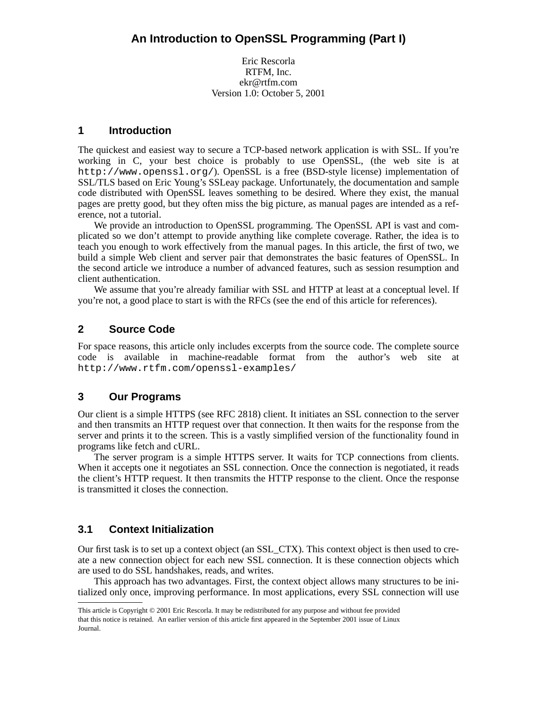Eric Rescorla RTFM, Inc. ekr@rtfm.com Version 1.0: October 5, 2001

# **1 Introduction**

The quickest and easiest way to secure a TCP-based network application is with SSL. If you're working in C, your best choice is probably to use OpenSSL, (the web site is at http://www.openssl.org/). OpenSSL is a free (BSD-style license) implementation of SSL/TLS based on Eric Young's SSLeay package. Unfortunately, the documentation and sample code distributed with OpenSSL leaves something to be desired. Where they exist, the manual pages are pretty good, but they often miss the big picture, as manual pages are intended as a reference, not a tutorial.

We provide an introduction to OpenSSL programming. The OpenSSL API is vast and complicated so we don't attempt to provide anything like complete coverage. Rather, the idea is to teach you enough to work effectively from the manual pages. In this article, the first of two, we build a simple Web client and server pair that demonstrates the basic features of OpenSSL. In the second article we introduce a number of advanced features, such as session resumption and client authentication.

We assume that you're already familiar with SSL and HTTP at least at a conceptual level. If you're not, a good place to start is with the RFCs (see the end of this article for references).

# **2 Source Code**

For space reasons, this article only includes excerpts from the source code. The complete source code is available in machine-readable format from the author's web site at http://www.rtfm.com/openssl-examples/

# **3 Our Programs**

Our client is a simple HTTPS (see RFC 2818) client. It initiates an SSL connection to the server and then transmits an HTTP request over that connection. It then waits for the response from the server and prints it to the screen. This is a vastly simplified version of the functionality found in programs like fetch and cURL.

The server program is a simple HTTPS server. It waits for TCP connections from clients. When it accepts one it negotiates an SSL connection. Once the connection is negotiated, it reads the client's HTTP request. It then transmits the HTTP response to the client. Once the response is transmitted it closes the connection.

# **3.1 Context Initialization**

Our first task is to set up a context object (an SSL\_CTX). This context object is then used to create a new connection object for each new SSL connection. It is these connection objects which are used to do SSL handshakes, reads, and writes.

This approach has two advantages. First, the context object allows many structures to be initialized only once, improving performance. In most applications, every SSL connection will use

This article is Copyright © 2001 Eric Rescorla. It may be redistributed for any purpose and without fee provided that this notice is retained. An earlier version of this article first appeared in the September 2001 issue of Linux Journal.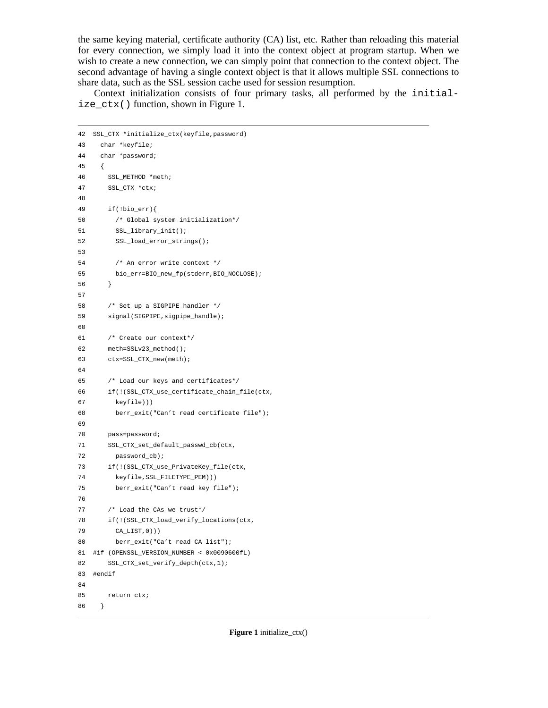the same keying material, certificate authority (CA) list, etc. Rather than reloading this material for every connection, we simply load it into the context object at program startup. When we wish to create a new connection, we can simply point that connection to the context object. The second advantage of having a single context object is that it allows multiple SSL connections to share data, such as the SSL session cache used for session resumption.

Context initialization consists of four primary tasks, all performed by the initialize\_ctx() function, shown in Figure 1.

```
42 SSL_CTX *initialize_ctx(keyfile,password)
43 char *keyfile;
44 char *password;
45 {
46 SSL_METHOD *meth;
47 SSL_CTX *ctx;
48
49 if(!bio_err){
50 /* Global system initialization*/
51 SSL_library_init();
52 SSL_load_error_strings();
53
54 /* An error write context */
55 bio_err=BIO_new_fp(stderr,BIO_NOCLOSE);
56 }
57
58 /* Set up a SIGPIPE handler */
59 signal(SIGPIPE,sigpipe_handle);
60
61 /* Create our context*/
62 meth=SSLv23_method();
63 ctx=SSL_CTX_new(meth);
64
65 /* Load our keys and certificates*/
66 if(!(SSL_CTX_use_certificate_chain_file(ctx,
67 keyfile)))
68 berr_exit("Can't read certificate file");
69
70 pass=password;
71 SSL_CTX_set_default_passwd_cb(ctx,
72 password_cb);
73 if(!(SSL_CTX_use_PrivateKey_file(ctx,
74 keyfile,SSL_FILETYPE_PEM)))
75 berr_exit("Can't read key file");
76
77 /* Load the CAs we trust*/
78 if(!(SSL_CTX_load_verify_locations(ctx,
79 CA_LIST,0)))
80 berr_exit("Ca't read CA list");
81 #if (OPENSSL_VERSION_NUMBER < 0x0090600fL)
82 SSL_CTX_set_verify_depth(ctx,1);
83 #endif
84
85 return ctx;
86 }
```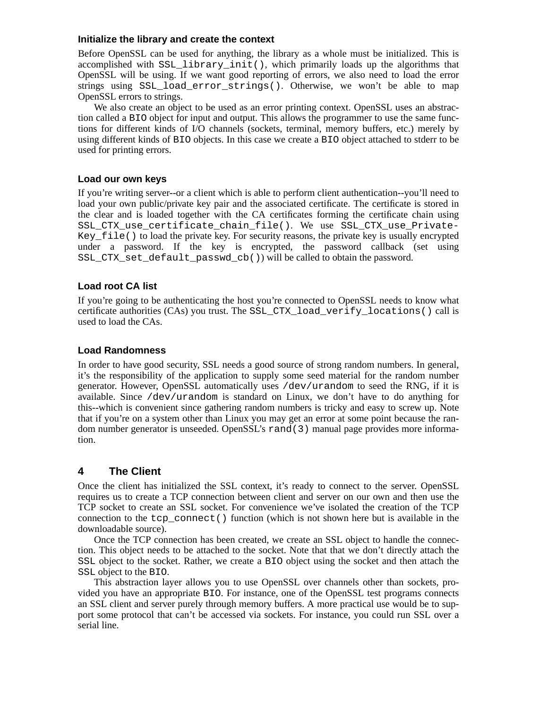### **Initialize the library and create the context**

Before OpenSSL can be used for anything, the library as a whole must be initialized. This is accomplished with SSL\_library\_init(), which primarily loads up the algorithms that OpenSSL will be using. If we want good reporting of errors, we also need to load the error strings using SSL\_load\_error\_strings(). Otherwise, we won't be able to map OpenSSL errors to strings.

We also create an object to be used as an error printing context. OpenSSL uses an abstraction called a BIO object for input and output. This allows the programmer to use the same functions for different kinds of I/O channels (sockets, terminal, memory buffers, etc.) merely by using different kinds of BIO objects. In this case we create a BIO object attached to stderr to be used for printing errors.

## **Load our own keys**

If you're writing server--or a client which is able to perform client authentication--you'll need to load your own public/private key pair and the associated certificate. The certificate is stored in the clear and is loaded together with the CA certificates forming the certificate chain using SSL\_CTX\_use\_certificate\_chain\_file(). We use SSL\_CTX\_use\_Private-Key\_file() to load the private key. For security reasons, the private key is usually encrypted under a password. If the key is encrypted, the password callback (set using SSL\_CTX\_set\_default\_passwd\_cb()) will be called to obtain the password.

## **Load root CA list**

If you're going to be authenticating the host you're connected to OpenSSL needs to know what certificate authorities (CAs) you trust. The SSL\_CTX\_load\_verify\_locations() call is used to load the CAs.

## **Load Randomness**

In order to have good security, SSL needs a good source of strong random numbers. In general, it's the responsibility of the application to supply some seed material for the random number generator. However, OpenSSL automatically uses  $/$ dev $/$ urandom to seed the RNG, if it is available. Since  $/$ dev $/$ urandom is standard on Linux, we don't have to do anything for this--which is convenient since gathering random numbers is tricky and easy to screw up. Note that if you're on a system other than Linux you may get an error at some point because the random number generator is unseeded. OpenSSL's rand(3) manual page provides more information.

## **4 The Client**

Once the client has initialized the SSL context, it's ready to connect to the server. OpenSSL requires us to create a TCP connection between client and server on our own and then use the TCP socket to create an SSL socket. For convenience we've isolated the creation of the TCP connection to the tcp\_connect() function (which is not shown here but is available in the downloadable source).

Once the TCP connection has been created, we create an SSL object to handle the connection. This object needs to be attached to the socket. Note that that we don't directly attach the SSL object to the socket. Rather, we create a BIO object using the socket and then attach the SSL object to the BIO.

This abstraction layer allows you to use OpenSSL over channels other than sockets, provided you have an appropriate BIO. For instance, one of the OpenSSL test programs connects an SSL client and server purely through memory buffers. A more practical use would be to support some protocol that can't be accessed via sockets. For instance, you could run SSL over a serial line.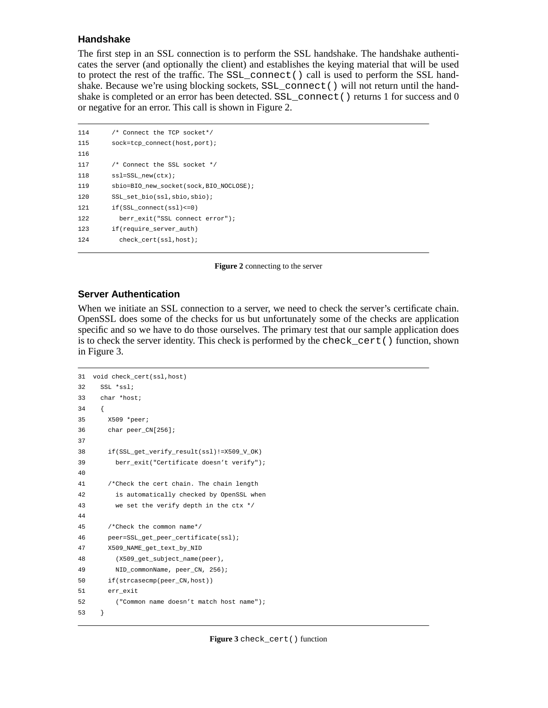## **Handshake**

The first step in an SSL connection is to perform the SSL handshake. The handshake authenticates the server (and optionally the client) and establishes the keying material that will be used to protect the rest of the traffic. The SSL\_connect() call is used to perform the SSL handshake. Because we're using blocking sockets, SSL\_connect() will not return until the handshake is completed or an error has been detected.  $SSL\_connect$  () returns 1 for success and 0 or negative for an error. This call is shown in Figure 2.

```
114 /* Connect the TCP socket*/
115 sock=tcp_connect(host,port);
116
117 /* Connect the SSL socket */
118 ssl=SSL_new(ctx);
119 sbio=BIO_new_socket(sock,BIO_NOCLOSE);
120 SSL_set_bio(ssl,sbio,sbio);
121 if(SSL_connect(ssl)<=0)
122 berr_exit("SSL connect error");
123 if(require_server_auth)
124 check_cert(ssl,host);
```
**Figure 2** connecting to the server

## **Ser ver Authentication**

When we initiate an SSL connection to a server, we need to check the server's certificate chain. OpenSSL does some of the checks for us but unfortunately some of the checks are application specific and so we have to do those ourselves. The primary test that our sample application does is to check the server identity. This check is performed by the check\_cert() function, shown in Figure 3.

```
31 void check_cert(ssl,host)
32 SSL *ssl;
33 char *host;
34 {
35 X509 *peer;
36 char peer_CN[256];
37
38 if(SSL_get_verify_result(ssl)!=X509_V_OK)
39 berr_exit("Certificate doesn't verify");
4041 /*Check the cert chain. The chain length
42 is automatically checked by OpenSSL when
43 we set the verify depth in the ctx */
44
45 /*Check the common name*/
46 peer=SSL_get_peer_certificate(ssl);
47 X509_NAME_get_text_by_NID
48 (X509_get_subject_name(peer),
49 NID_commonName, peer_CN, 256);
50 if(strcasecmp(peer_CN,host))
51 err_exit
52 ("Common name doesn't match host name");
53 }
```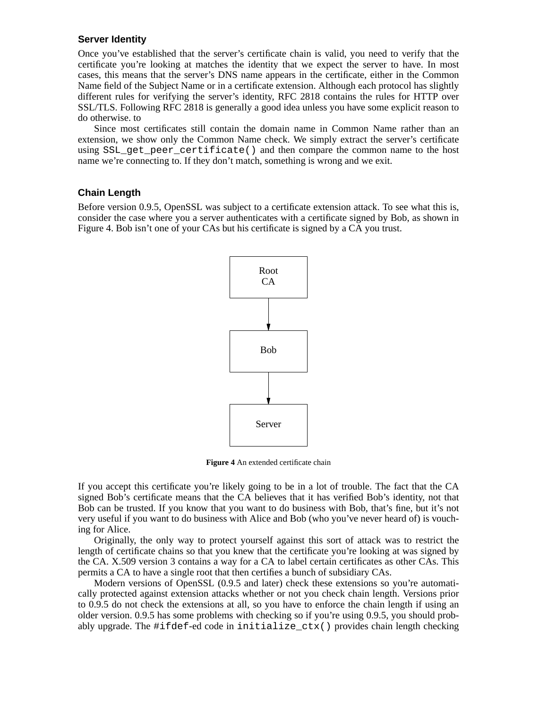## **Server Identity**

Once you've established that the server's certificate chain is valid, you need to verify that the certificate you're looking at matches the identity that we expect the server to have. In most cases, this means that the server's DNS name appears in the certificate, either in the Common Name field of the Subject Name or in a certificate extension. Although each protocol has slightly different rules for verifying the server's identity, RFC 2818 contains the rules for HTTP over SSL/TLS. Following RFC 2818 is generally a good idea unless you have some explicit reason to do otherwise. to

Since most certificates still contain the domain name in Common Name rather than an extension, we show only the Common Name check. We simply extract the server's certificate using SSL get peer certificate() and then compare the common name to the host name we're connecting to. If they don't match, something is wrong and we exit.

### **Chain Length**

Before version 0.9.5, OpenSSL was subject to a certificate extension attack. To see what this is, consider the case where you a server authenticates with a certificate signed by Bob, as shown in Figure 4. Bob isn't one of your CAs but his certificate is signed by a CA you trust.



**Figure 4** An extended certificate chain

If you accept this certificate you're likely going to be in a lot of trouble. The fact that the CA signed Bob's certificate means that the CA believes that it has verified Bob's identity, not that Bob can be trusted. If you know that you want to do business with Bob, that's fine, but it's not very useful if you want to do business with Alice and Bob (who you've never heard of) is vouching for Alice.

Originally, the only way to protect yourself against this sort of attack was to restrict the length of certificate chains so that you knew that the certificate you're looking at was signed by the CA. X.509 version 3 contains a way for a CA to label certain certificates as other CAs. This permits a CA to have a single root that then certifies a bunch of subsidiary CAs.

Modern versions of OpenSSL (0.9.5 and later) check these extensions so you're automatically protected against extension attacks whether or not you check chain length. Versions prior to 0.9.5 do not check the extensions at all, so you have to enforce the chain length if using an older version. 0.9.5 has some problems with checking so if you're using 0.9.5, you should probably upgrade. The #ifdef-ed code in initialize\_ctx() provides chain length checking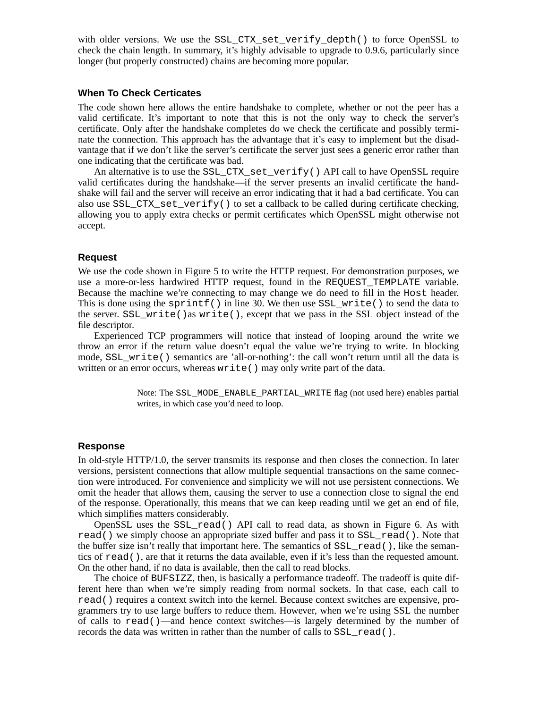with older versions. We use the SSL\_CTX\_set\_verify\_depth() to force OpenSSL to check the chain length. In summary, it's highly advisable to upgrade to 0.9.6, particularly since longer (but properly constructed) chains are becoming more popular.

## **When To Check Certicates**

The code shown here allows the entire handshake to complete, whether or not the peer has a valid certificate. It's important to note that this is not the only way to check the server's certificate. Only after the handshake completes do we check the certificate and possibly terminate the connection. This approach has the advantage that it's easy to implement but the disadvantage that if we don't like the server's certificate the server just sees a generic error rather than one indicating that the certificate was bad.

An alternative is to use the SSL\_CTX\_set\_verify() API call to have OpenSSL require valid certificates during the handshake—if the server presents an invalid certificate the handshake will fail and the server will receive an error indicating that it had a bad certificate. You can also use SSL\_CTX\_set\_verify() to set a callback to be called during certificate checking, allowing you to apply extra checks or permit certificates which OpenSSL might otherwise not accept.

#### **Request**

We use the code shown in Figure 5 to write the HTTP request. For demonstration purposes, we use a more-or-less hardwired HTTP request, found in the REQUEST\_TEMPLATE variable. Because the machine we're connecting to may change we do need to fill in the Host header. This is done using the sprintf() in line 30. We then use  $SSL\_write($  to send the data to the server. SSL\_write()as write(), except that we pass in the SSL object instead of the file descriptor.

Experienced TCP programmers will notice that instead of looping around the write we throw an error if the return value doesn't equal the value we're trying to write. In blocking mode, SSL\_write() semantics are 'all-or-nothing': the call won't return until all the data is written or an error occurs, whereas write() may only write part of the data.

> Note: The SSL\_MODE\_ENABLE\_PARTIAL\_WRITE flag (not used here) enables partial writes, in which case you'd need to loop.

#### **Response**

In old-style HTTP/1.0, the server transmits its response and then closes the connection. In later versions, persistent connections that allow multiple sequential transactions on the same connection were introduced. For convenience and simplicity we will not use persistent connections. We omit the header that allows them, causing the server to use a connection close to signal the end of the response. Operationally, this means that we can keep reading until we get an end of file, which simplifies matters considerably.

OpenSSL uses the SSL\_read() API call to read data, as shown in Figure 6. As with read() we simply choose an appropriate sized buffer and pass it to SSL\_read(). Note that the buffer size isn't really that important here. The semantics of  $SSL\_read($ ), like the semantics of read(), are that it returns the data available, even if it's less than the requested amount. On the other hand, if no data is available, then the call to read blocks.

The choice of BUFSIZZ, then, is basically a performance tradeoff. The tradeoff is quite different here than when we're simply reading from normal sockets. In that case, each call to read() requires a context switch into the kernel. Because context switches are expensive, programmers try to use large buffers to reduce them. However, when we're using SSL the number of calls to read()—and hence context switches—is largely determined by the number of records the data was written in rather than the number of calls to SSL\_read().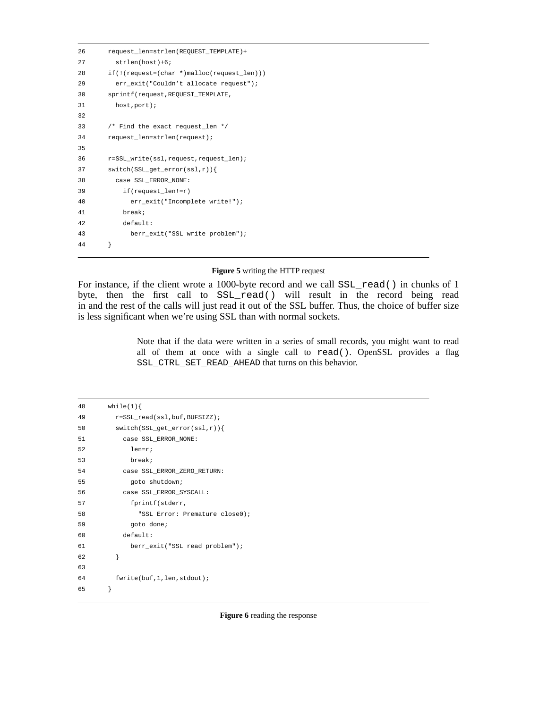```
26 request_len=strlen(REQUEST_TEMPLATE)+
27 strlen(host)+6;
28 if(!(request=(char *)malloc(request_len)))
29 err_exit("Couldn't allocate request");
30 sprintf(request,REQUEST_TEMPLATE,
31 host,port);
32
33 /* Find the exact request_len */
34 request_len=strlen(request);
35
36 r=SSL_write(ssl,request,request_len);
37 switch(SSL_get_error(ssl,r)){
38 case SSL_ERROR_NONE:
39 if(request_len!=r)
40 err_exit("Incomplete write!");
41 break;
42 default:
43 berr_exit("SSL write problem");
44 }
```
#### **Figure 5** writing the HTTP request

For instance, if the client wrote a 1000-byte record and we call  $SSL$ <sub>read</sub>() in chunks of 1 byte, then the first call to SSL\_read() will result in the record being read in and the rest of the calls will just read it out of the SSL buffer. Thus, the choice of buffer size is less significant when we're using SSL than with normal sockets.

> Note that if the data were written in a series of small records, you might want to read all of them at once with a single call to read(). OpenSSL provides a flag SSL\_CTRL\_SET\_READ\_AHEAD that turns on this behavior.

| 48 | while(1) $\{$                  |
|----|--------------------------------|
| 49 | r=SSL_read(ssl,buf,BUFSIZZ);   |
| 50 | $switch(SSL.get_error(ssl,r))$ |
| 51 | case SSL ERROR NONE:           |
| 52 | $len=r$ ;                      |
| 53 | break;                         |
| 54 | case SSL ERROR ZERO RETURN:    |
| 55 | goto shutdown;                 |
| 56 | case SSL ERROR SYSCALL:        |
| 57 | fprintf(stderr,                |
| 58 | "SSL Error: Premature close0); |
| 59 | goto done;                     |
| 60 | default:                       |
| 61 | berr_exit("SSL read problem"); |
| 62 | ł                              |
| 63 |                                |
| 64 | fwrite(buf, 1, len, stdout);   |
| 65 | }                              |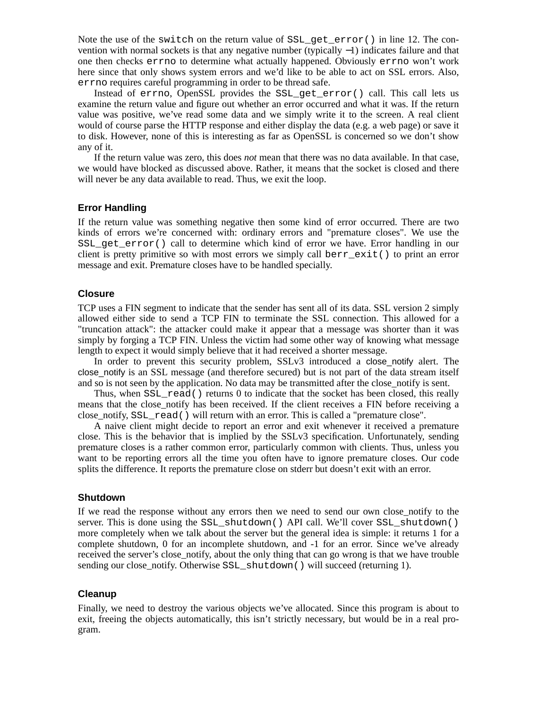Note the use of the switch on the return value of SSL\_get\_error() in line 12. The convention with normal sockets is that any negative number (typically  $-1$ ) indicates failure and that one then checks errno to determine what actually happened. Obviously errno won't work here since that only shows system errors and we'd like to be able to act on SSL errors. Also, errno requires careful programming in order to be thread safe.

Instead of errno, OpenSSL provides the SSL\_get\_error() call. This call lets us examine the return value and figure out whether an error occurred and what it was. If the return value was positive, we've read some data and we simply write it to the screen. A real client would of course parse the HTTP response and either display the data (e.g. a web page) or save it to disk. However, none of this is interesting as far as OpenSSL is concerned so we don't show any of it.

If the return value was zero, this does *not* mean that there was no data available. In that case, we would have blocked as discussed above. Rather, it means that the socket is closed and there will never be any data available to read. Thus, we exit the loop.

## **Error Handling**

If the return value was something negative then some kind of error occurred. There are two kinds of errors we're concerned with: ordinary errors and "premature closes". We use the SSL get  $error()$  call to determine which kind of error we have. Error handling in our client is pretty primitive so with most errors we simply call berr  $ext()$  to print an error message and exit. Premature closes have to be handled specially.

### **Closure**

TCP uses a FIN segment to indicate that the sender has sent all of its data. SSL version 2 simply allowed either side to send a TCP FIN to terminate the SSL connection. This allowed for a "truncation attack": the attacker could make it appear that a message was shorter than it was simply by forging a TCP FIN. Unless the victim had some other way of knowing what message length to expect it would simply believe that it had received a shorter message.

In order to prevent this security problem, SSLv3 introduced a close\_notify alert. The close notify is an SSL message (and therefore secured) but is not part of the data stream itself and so is not seen by the application. No data may be transmitted after the close\_notify is sent.

Thus, when SSL\_read() returns 0 to indicate that the socket has been closed, this really means that the close notify has been received. If the client receives a FIN before receiving a close notify, SSL read() will return with an error. This is called a "premature close".

A naive client might decide to report an error and exit whenever it received a premature close. This is the behavior that is implied by the SSLv3 specification. Unfortunately, sending premature closes is a rather common error, particularly common with clients. Thus, unless you want to be reporting errors all the time you often have to ignore premature closes. Our code splits the difference. It reports the premature close on stderr but doesn't exit with an error.

#### **Shutdown**

If we read the response without any errors then we need to send our own close\_notify to the server. This is done using the SSL\_shutdown() API call. We'll cover SSL\_shutdown() more completely when we talk about the server but the general idea is simple: it returns 1 for a complete shutdown, 0 for an incomplete shutdown, and -1 for an error. Since we've already received the server's close\_notify, about the only thing that can go wrong is that we have trouble sending our close\_notify. Otherwise SSL\_shutdown() will succeed (returning 1).

#### **Cleanup**

Finally, we need to destroy the various objects we've allocated. Since this program is about to exit, freeing the objects automatically, this isn't strictly necessary, but would be in a real program.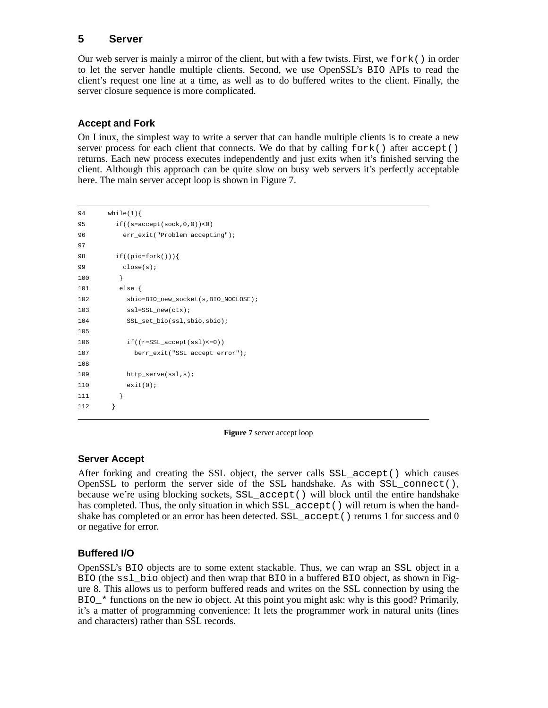# **5 Ser ver**

Our web server is mainly a mirror of the client, but with a few twists. First, we fork() in order to let the server handle multiple clients. Second, we use OpenSSL's BIO APIs to read the client's request one line at a time, as well as to do buffered writes to the client. Finally, the server closure sequence is more complicated.

# **Accept and Fork**

On Linux, the simplest way to write a server that can handle multiple clients is to create a new server process for each client that connects. We do that by calling  $f \circ r k$  () after  $\alpha$  cept () returns. Each new process executes independently and just exits when it's finished serving the client. Although this approach can be quite slow on busy web servers it's perfectly acceptable here. The main server accept loop is shown in Figure 7.

```
94 while(1){
95 if((s=accept(sock,0,0))<0)
96 err_exit("Problem accepting");
97
98 if((pid=fork())){
99 close(s);
100 }
101 else {
102 sbio=BIO_new_socket(s,BIO_NOCLOSE);
103 ssl=SSL_new(ctx);
104 SSL_set_bio(ssl,sbio,sbio);
105
106 if((r=SSL_accept(ssl)<=0))
107 berr_exit("SSL accept error");
108
109 http_serve(ssl,s);
110 exit(0);
111 }
112 }
```
**Figure 7** server accept loop

# **Ser ver Accept**

After forking and creating the SSL object, the server calls SSL\_accept() which causes OpenSSL to perform the server side of the SSL handshake. As with  $SSL$  connect(), because we're using blocking sockets, SSL\_accept() will block until the entire handshake has completed. Thus, the only situation in which  $SSL_a$  accept() will return is when the handshake has completed or an error has been detected. SSL\_accept() returns 1 for success and 0 or negative for error.

# **Buffered I/O**

OpenSSL's BIO objects are to some extent stackable. Thus, we can wrap an SSL object in a BIO (the ssl\_bio object) and then wrap that BIO in a buffered BIO object, as shown in Figure 8. This allows us to perform buffered reads and writes on the SSL connection by using the BIO\_\* functions on the new io object. At this point you might ask: why is this good? Primarily, it's a matter of programming convenience: It lets the programmer work in natural units (lines and characters) rather than SSL records.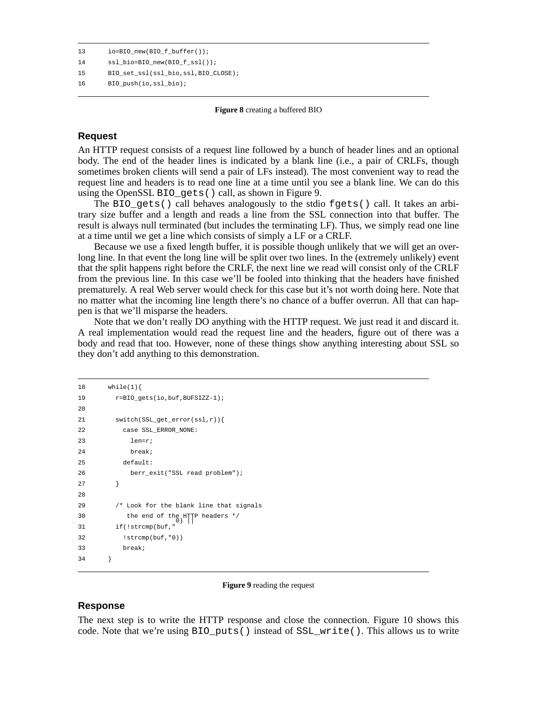```
13 io=BIO_new(BIO_f_buffer());
14 ssl_bio=BIO_new(BIO_f_ssl());
15 BIO_set_ssl(ssl_bio,ssl,BIO_CLOSE);
```

```
16 BIO push(io,ssl bio);
```
**Figure 8** creating a buffered BIO

## **Request**

An HTTP request consists of a request line followed by a bunch of header lines and an optional body. The end of the header lines is indicated by a blank line (i.e., a pair of CRLFs, though sometimes broken clients will send a pair of LFs instead). The most convenient way to read the request line and headers is to read one line at a time until you see a blank line. We can do this using the OpenSSL BIO\_gets() call, as shown in Figure 9.

The BIO\_gets() call behaves analogously to the stdio fgets() call. It takes an arbitrary size buffer and a length and reads a line from the SSL connection into that buffer. The result is always null terminated (but includes the terminating LF). Thus, we simply read one line at a time until we get a line which consists of simply a LF or a CRLF.

Because we use a fixed length buffer, it is possible though unlikely that we will get an overlong line. In that event the long line will be split over two lines. In the (extremely unlikely) event that the split happens right before the CRLF, the next line we read will consist only of the CRLF from the previous line. In this case we'll be fooled into thinking that the headers have finished prematurely. A real Web server would check for this case but it's not worth doing here. Note that no matter what the incoming line length there's no chance of a buffer overrun. All that can happen is that we'll misparse the headers.

Note that we don't really DO anything with the HTTP request. We just read it and discard it. A real implementation would read the request line and the headers, figure out of there was a body and read that too. However, none of these things show anything interesting about SSL so they don't add anything to this demonstration.

```
18 while(1){
19 r = BIO\_gets(io,buf,BUFSIZZ-1);20
21 switch(SSL_get_error(ssl,r)){
22 case SSL_ERROR_NONE:
23 len=r;
24 break;
25 default:
26 berr_exit("SSL read problem");
27 }
28
29 /* Look for the blank line that signals
30 the end of the HTTP headers */
31 if(!strcmp(buf,"
32 !strcmp(buf,"0))
33 break;
34 }
```
#### **Figure 9** reading the request

#### **Response**

The next step is to write the HTTP response and close the connection. Figure 10 shows this code. Note that we're using BIO\_puts() instead of SSL\_write(). This allows us to write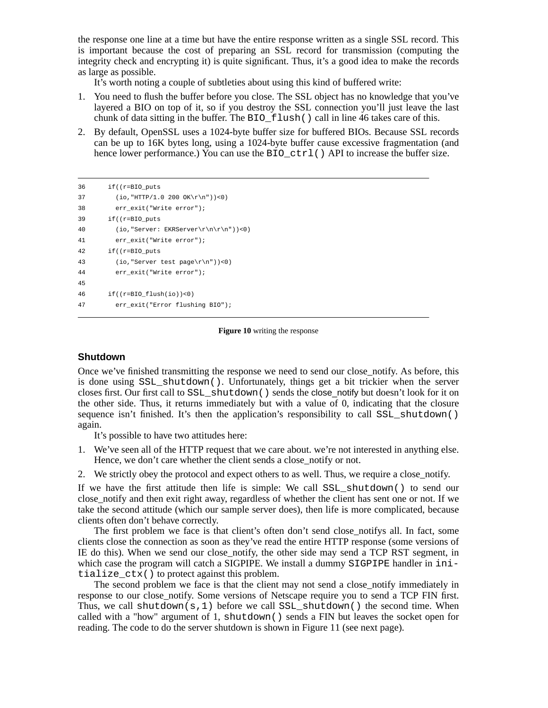the response one line at a time but have the entire response written as a single SSL record. This is important because the cost of preparing an SSL record for transmission (computing the integrity check and encrypting it) is quite significant. Thus, it's a good idea to make the records as large as possible.

It's worth noting a couple of subtleties about using this kind of buffered write:

- 1. You need to flush the buffer before you close. The SSL object has no knowledge that you've layered a BIO on top of it, so if you destroy the SSL connection you'll just leave the last chunk of data sitting in the buffer. The BIO\_flush() call in line 46 takes care of this.
- 2. By default, OpenSSL uses a 1024-byte buffer size for buffered BIOs. Because SSL records can be up to 16K bytes long, using a 1024-byte buffer cause excessive fragmentation (and hence lower performance.) You can use the BIO\_ctrl() API to increase the buffer size.

```
36 if((r=BIO_puts
37 (io, "HTTP/1.0 200 OK\r\n"))<0)
38 err_exit("Write error");
39 if((r=BIO_puts
40 (io, "Server: EKRServer\r\n\r\n"))<0)
41 err_exit("Write error");
42 if((r=BIO_puts
43 (io,"Server test page\r\n"))<0)
44 err_exit("Write error");
45
46 if((r=BIO_flush(io))<0)
47 err_exit("Error flushing BIO");
```
#### **Figure 10** writing the response

#### **Shutdown**

Once we've finished transmitting the response we need to send our close\_notify. As before, this is done using SSL\_shutdown(). Unfortunately, things get a bit trickier when the server closes first. Our first call to SSL\_shutdown() sends the close\_notify but doesn't look for it on the other side. Thus, it returns immediately but with a value of 0, indicating that the closure sequence isn't finished. It's then the application's responsibility to call SSL\_shutdown() again.

It's possible to have two attitudes here:

- 1. We've seen all of the HTTP request that we care about. we're not interested in anything else. Hence, we don't care whether the client sends a close\_notify or not.
- 2. We strictly obey the protocol and expect others to as well. Thus, we require a close\_notify.

If we have the first attitude then life is simple: We call SSL\_shutdown() to send our close\_notify and then exit right away, regardless of whether the client has sent one or not. If we take the second attitude (which our sample server does), then life is more complicated, because clients often don't behave correctly.

The first problem we face is that client's often don't send close\_notifys all. In fact, some clients close the connection as soon as they've read the entire HTTP response (some versions of IE do this). When we send our close\_notify, the other side may send a TCP RST segment, in which case the program will catch a SIGPIPE. We install a dummy SIGPIPE handler in initialize\_ctx() to protect against this problem.

The second problem we face is that the client may not send a close notify immediately in response to our close notify. Some versions of Netscape require you to send a TCP FIN first. Thus, we call shutdown(s, 1) before we call SSL shutdown() the second time. When called with a "how" argument of 1, shutdown() sends a FIN but leaves the socket open for reading. The code to do the server shutdown is shown in Figure 11 (see next page).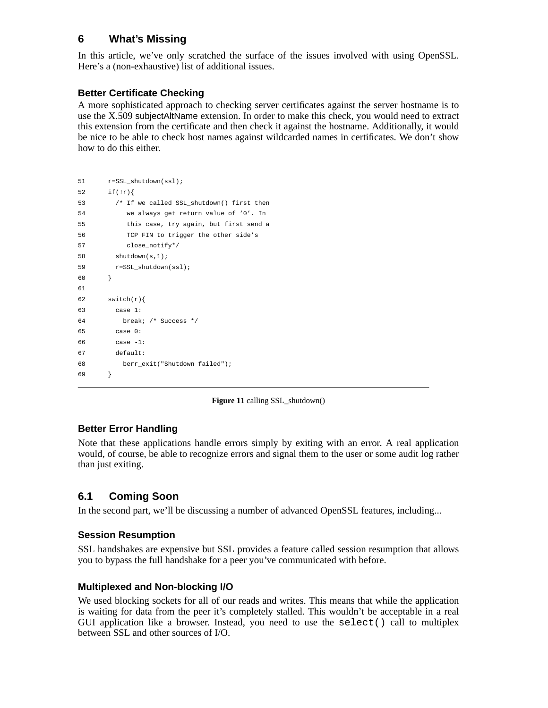# **6 What's Missing**

In this article, we've only scratched the surface of the issues involved with using OpenSSL. Here's a (non-exhaustive) list of additional issues.

# **Better Certificate Checking**

A more sophisticated approach to checking server certificates against the server hostname is to use the X.509 subjectAltName extension. In order to make this check, you would need to extract this extension from the certificate and then check it against the hostname. Additionally, it would be nice to be able to check host names against wildcarded names in certificates. We don't show how to do this either.

```
51 r=SSL shutdown(ssl);
52 if(!r){
53 /* If we called SSL_shutdown() first then
54 we always get return value of '0'. In
55 this case, try again, but first send a
56 TCP FIN to trigger the other side's
57 close notify*/
58 shutdown(s,1);
59 r=SSL shutdown(ssl);
60 }
61
62 switch(r){
63 case 1:
64 break; /* Success */
65 case 0:
66 case -1:
67 default:
68 berr_exit("Shutdown failed");
69 }
```


# **Better Error Handling**

Note that these applications handle errors simply by exiting with an error. A real application would, of course, be able to recognize errors and signal them to the user or some audit log rather than just exiting.

# **6.1 Coming Soon**

In the second part, we'll be discussing a number of advanced OpenSSL features, including...

# **Session Resumption**

SSL handshakes are expensive but SSL provides a feature called session resumption that allows you to bypass the full handshake for a peer you've communicated with before.

# **Multiplexed and Non-blocking I/O**

We used blocking sockets for all of our reads and writes. This means that while the application is waiting for data from the peer it's completely stalled. This wouldn't be acceptable in a real GUI application like a browser. Instead, you need to use the  $select()$  call to multiplex between SSL and other sources of I/O.